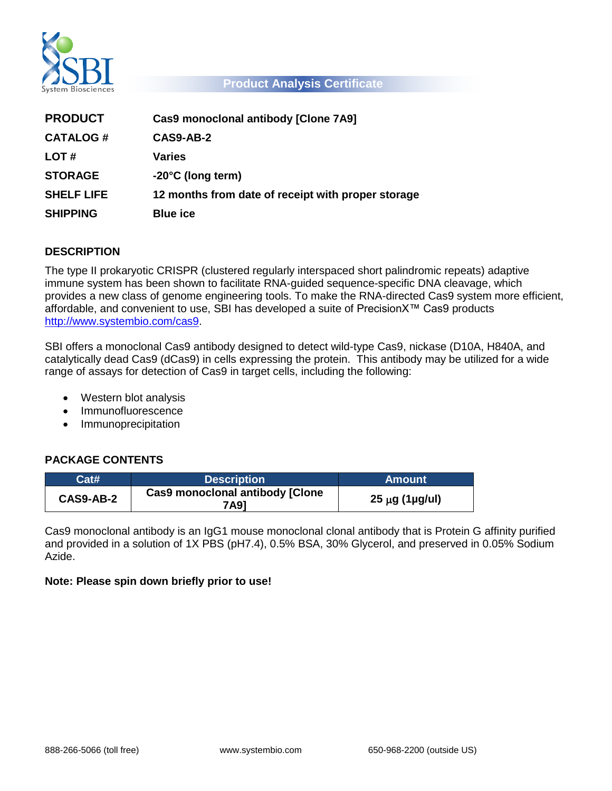

### **Product Analysis Certificate**

| <b>PRODUCT</b>    | Cas9 monoclonal antibody [Clone 7A9]               |
|-------------------|----------------------------------------------------|
| <b>CATALOG#</b>   | CAS9-AB-2                                          |
| LOT#              | <b>Varies</b>                                      |
| <b>STORAGE</b>    | $-20^{\circ}$ C (long term)                        |
| <b>SHELF LIFE</b> | 12 months from date of receipt with proper storage |
| <b>SHIPPING</b>   | <b>Blue ice</b>                                    |

# **DESCRIPTION**

The type II prokaryotic CRISPR (clustered regularly interspaced short palindromic repeats) adaptive immune system has been shown to facilitate RNA-guided sequence-specific DNA cleavage, which provides a new class of genome engineering tools. To make the RNA-directed Cas9 system more efficient, affordable, and convenient to use, SBI has developed a suite of PrecisionX™ Cas9 products [http://www.systembio.com/cas9.](http://www.systembio.com/cas9)

SBI offers a monoclonal Cas9 antibody designed to detect wild-type Cas9, nickase (D10A, H840A, and catalytically dead Cas9 (dCas9) in cells expressing the protein. This antibody may be utilized for a wide range of assays for detection of Cas9 in target cells, including the following:

- Western blot analysis
- Immunofluorescence
- Immunoprecipitation

# **PACKAGE CONTENTS**

| Cat#      | <b>Description</b>                             | <b>Amount</b>              |
|-----------|------------------------------------------------|----------------------------|
| CAS9-AB-2 | <b>Cas9 monoclonal antibody [Clone</b><br>7A91 | $25 \mu g$ (1 $\mu g$ /ul) |

Cas9 monoclonal antibody is an IgG1 mouse monoclonal clonal antibody that is Protein G affinity purified and provided in a solution of 1X PBS (pH7.4), 0.5% BSA, 30% Glycerol, and preserved in 0.05% Sodium Azide.

# **Note: Please spin down briefly prior to use!**